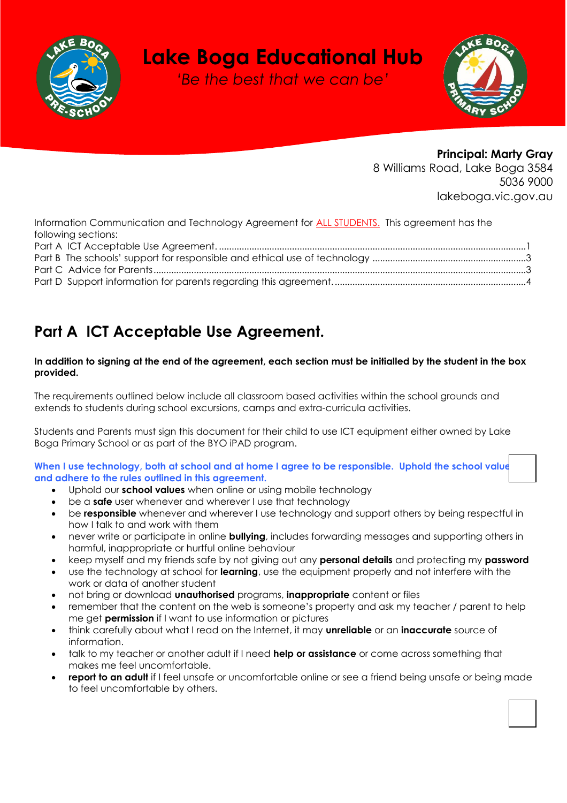

# **Lake Boga Educational Hub**

*'Be the best that we can be'*



# **Principal: Marty Gray**

8 Williams Road, Lake Boga 3584 5036 9000 lakeboga.vic.gov.au

Information Communication and Technology Agreement for **ALL STUDENTS**. This agreement has the following sections:

# <span id="page-0-0"></span>**Part A ICT Acceptable Use Agreement.**

# **In addition to signing at the end of the agreement, each section must be initialled by the student in the box provided.**

The requirements outlined below include all classroom based activities within the school grounds and extends to students during school excursions, camps and extra-curricula activities.

Students and Parents must sign this document for their child to use ICT equipment either owned by Lake Boga Primary School or as part of the BYO iPAD program.

When I use technology, both at school and at home I agree to be responsible. Uphold the school value **and adhere to the rules outlined in this agreement.** 

- Uphold our **school values** when online or using mobile technology
- be a **safe** user whenever and wherever I use that technology
- be **responsible** whenever and wherever I use technology and support others by being respectful in how I talk to and work with them
- never write or participate in online **bullying**, includes forwarding messages and supporting others in harmful, inappropriate or hurtful online behaviour
- keep myself and my friends safe by not giving out any **personal details** and protecting my **password**
- use the technology at school for **learning**, use the equipment properly and not interfere with the work or data of another student
- not bring or download **unauthorised** programs, **inappropriate** content or files
- remember that the content on the web is someone's property and ask my teacher / parent to help me get **permission** if I want to use information or pictures
- think carefully about what I read on the Internet, it may **unreliable** or an **inaccurate** source of information.
- talk to my teacher or another adult if I need **help or assistance** or come across something that makes me feel uncomfortable.
- **report to an adult** if I feel unsafe or uncomfortable online or see a friend being unsafe or being made to feel uncomfortable by others.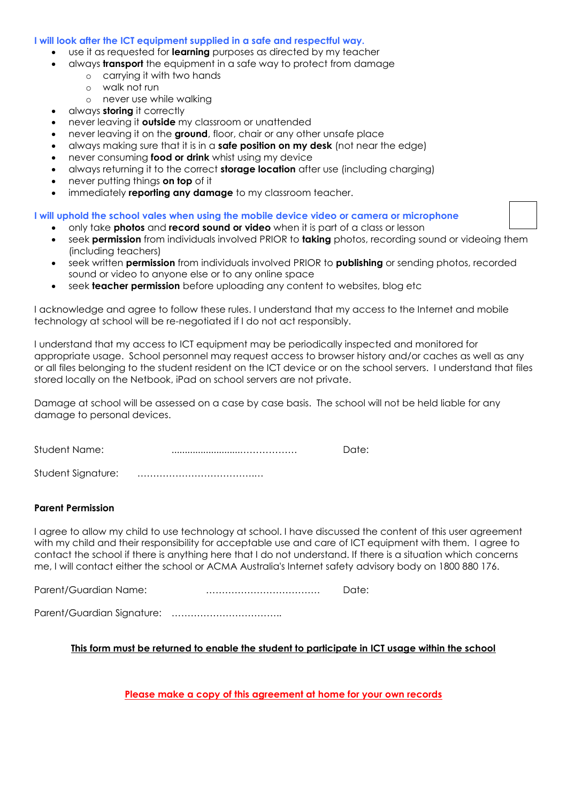## **I will look after the ICT equipment supplied in a safe and respectful way.**

- use it as requested for **learning** purposes as directed by my teacher
- always **transport** the equipment in a safe way to protect from damage
	- o carrying it with two hands
		- o walk not run
		- o never use while walking
- always **storing** it correctly
- never leaving it **outside** my classroom or unattended
- never leaving it on the **ground**, floor, chair or any other unsafe place
- always making sure that it is in a **safe position on my desk** (not near the edge)
- never consuming **food or drink** whist using my device
- always returning it to the correct **storage location** after use (including charging)
- never putting things **on top** of it
- immediately **reporting any damage** to my classroom teacher.

#### **I will uphold the school vales when using the mobile device video or camera or microphone**

- only take **photos** and **record sound or video** when it is part of a class or lesson
- seek **permission** from individuals involved PRIOR to **taking** photos, recording sound or videoing them (including teachers)
- seek written **permission** from individuals involved PRIOR to **publishing** or sending photos, recorded sound or video to anyone else or to any online space
- seek **teacher permission** before uploading any content to websites, blog etc

I acknowledge and agree to follow these rules. I understand that my access to the Internet and mobile technology at school will be re-negotiated if I do not act responsibly.

I understand that my access to ICT equipment may be periodically inspected and monitored for appropriate usage. School personnel may request access to browser history and/or caches as well as any or all files belonging to the student resident on the ICT device or on the school servers. I understand that files stored locally on the Netbook, iPad on school servers are not private.

Damage at school will be assessed on a case by case basis. The school will not be held liable for any damage to personal devices.

| Student Name:      | Date: |
|--------------------|-------|
| Student Signature: |       |

# **Parent Permission**

I agree to allow my child to use technology at school. I have discussed the content of this user agreement with my child and their responsibility for acceptable use and care of ICT equipment with them. I agree to contact the school if there is anything here that I do not understand. If there is a situation which concerns me, I will contact either the school or ACMA Australia's Internet safety advisory body on 1800 880 176.

Parent/Guardian Name: ……………………………… Date:

Parent/Guardian Signature: ……………………………..

# **This form must be returned to enable the student to participate in ICT usage within the school**

**Please make a copy of this agreement at home for your own records**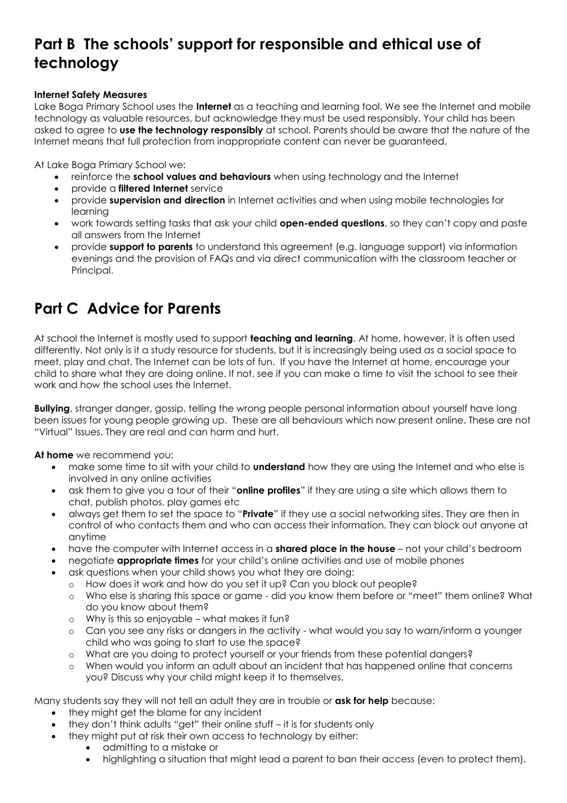# <span id="page-2-0"></span>**Part B The schools' support for responsible and ethical use of technology**

# **Internet Safety Measures**

Lake Boga Primary School uses the **Internet** as a teaching and learning tool. We see the Internet and mobile technology as valuable resources, but acknowledge they must be used responsibly. Your child has been asked to agree to **use the technology responsibly** at school. Parents should be aware that the nature of the Internet means that full protection from inappropriate content can never be guaranteed.

At Lake Boga Primary School we:

- reinforce the **school values and behaviours** when using technology and the Internet
- provide a **filtered Internet** service
- provide **supervision and direction** in Internet activities and when using mobile technologies for learning
- work towards setting tasks that ask your child **open-ended questions**, so they can't copy and paste all answers from the Internet
- provide **support to parents** to understand this agreement (e.g. language support) via information evenings and the provision of FAQs and via direct communication with the classroom teacher or Principal.

# <span id="page-2-1"></span>**Part C Advice for Parents**

At school the Internet is mostly used to support **teaching and learning**. At home, however, it is often used differently. Not only is it a study resource for students, but it is increasingly being used as a social space to meet, play and chat. The Internet can be lots of fun. If you have the Internet at home, encourage your child to share what they are doing online. If not, see if you can make a time to visit the school to see their work and how the school uses the Internet.

**Bullying**, stranger danger, gossip, telling the wrong people personal information about yourself have long been issues for young people growing up. These are all behaviours which now present online. These are not "Virtual" Issues. They are real and can harm and hurt.

**At home** we recommend you:

- make some time to sit with your child to **understand** how they are using the Internet and who else is involved in any online activities
- ask them to give you a tour of their "**online profiles**" if they are using a site which allows them to chat, publish photos, play games etc
- always get them to set the space to "**Private**" if they use a social networking sites. They are then in control of who contacts them and who can access their information. They can block out anyone at anytime
- have the computer with Internet access in a **shared place in the house** not your child's bedroom
- negotiate **appropriate times** for your child's online activities and use of mobile phones
- ask questions when your child shows you what they are doing:
	- o How does it work and how do you set it up? Can you block out people?
		- o Who else is sharing this space or game did you know them before or "meet" them online? What do you know about them?
		- o Why is this so enjoyable what makes it fun?
		- o Can you see any risks or dangers in the activity what would you say to warn/inform a younger child who was going to start to use the space?
		- o What are you doing to protect yourself or your friends from these potential dangers?
		- o When would you inform an adult about an incident that has happened online that concerns you? Discuss why your child might keep it to themselves.

Many students say they will not tell an adult they are in trouble or **ask for help** because:

- they might get the blame for any incident
- they don't think adults "get" their online stuff it is for students only
	- they might put at risk their own access to technology by either:
		- admitting to a mistake or
			- highlighting a situation that might lead a parent to ban their access (even to protect them).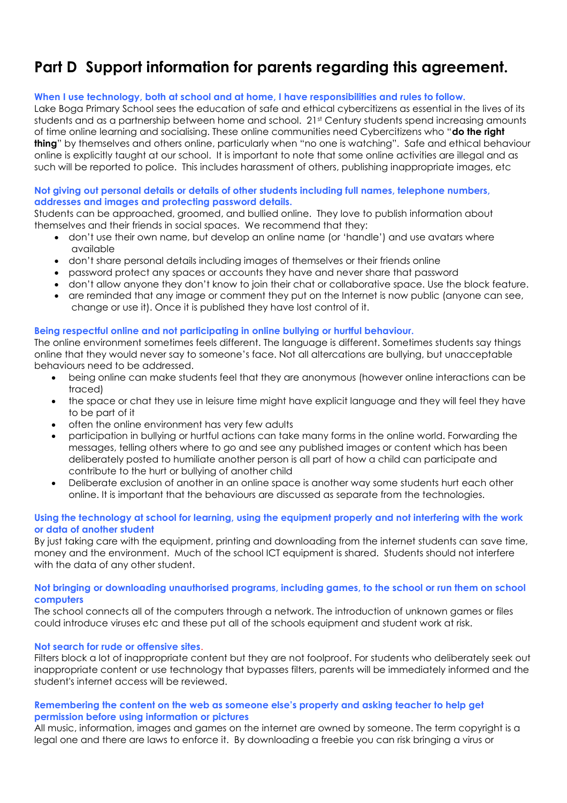# <span id="page-3-0"></span>**Part D Support information for parents regarding this agreement.**

# **When I use technology, both at school and at home, I have responsibilities and rules to follow.**

Lake Boga Primary School sees the education of safe and ethical cybercitizens as essential in the lives of its students and as a partnership between home and school. 21st Century students spend increasing amounts of time online learning and socialising. These online communities need Cybercitizens who "**do the right thing**" by themselves and others online, particularly when "no one is watching". Safe and ethical behaviour online is explicitly taught at our school. It is important to note that some online activities are illegal and as such will be reported to police. This includes harassment of others, publishing inappropriate images, etc

# **Not giving out personal details or details of other students including full names, telephone numbers, addresses and images and protecting password details.**

Students can be approached, groomed, and bullied online. They love to publish information about themselves and their friends in social spaces. We recommend that they:

- don't use their own name, but develop an online name (or 'handle') and use avatars where available
- don't share personal details including images of themselves or their friends online
- password protect any spaces or accounts they have and never share that password
- don't allow anyone they don't know to join their chat or collaborative space. Use the block feature.
- are reminded that any image or comment they put on the Internet is now public (anyone can see, change or use it). Once it is published they have lost control of it.

# **Being respectful online and not participating in online bullying or hurtful behaviour.**

The online environment sometimes feels different. The language is different. Sometimes students say things online that they would never say to someone's face. Not all altercations are bullying, but unacceptable behaviours need to be addressed.

- being online can make students feel that they are anonymous (however online interactions can be traced)
- the space or chat they use in leisure time might have explicit language and they will feel they have to be part of it
- often the online environment has very few adults
- participation in bullying or hurtful actions can take many forms in the online world. Forwarding the messages, telling others where to go and see any published images or content which has been deliberately posted to humiliate another person is all part of how a child can participate and contribute to the hurt or bullying of another child
- Deliberate exclusion of another in an online space is another way some students hurt each other online. It is important that the behaviours are discussed as separate from the technologies.

#### **Using the technology at school for learning, using the equipment properly and not interfering with the work or data of another student**

By just taking care with the equipment, printing and downloading from the internet students can save time, money and the environment. Much of the school ICT equipment is shared. Students should not interfere with the data of any other student.

#### **Not bringing or downloading unauthorised programs, including games, to the school or run them on school computers**

The school connects all of the computers through a network. The introduction of unknown games or files could introduce viruses etc and these put all of the schools equipment and student work at risk.

# **Not search for rude or offensive sites**.

Filters block a lot of inappropriate content but they are not foolproof. For students who deliberately seek out inappropriate content or use technology that bypasses filters, parents will be immediately informed and the student's internet access will be reviewed.

# **Remembering the content on the web as someone else's property and asking teacher to help get permission before using information or pictures**

All music, information, images and games on the internet are owned by someone. The term copyright is a legal one and there are laws to enforce it. By downloading a freebie you can risk bringing a virus or